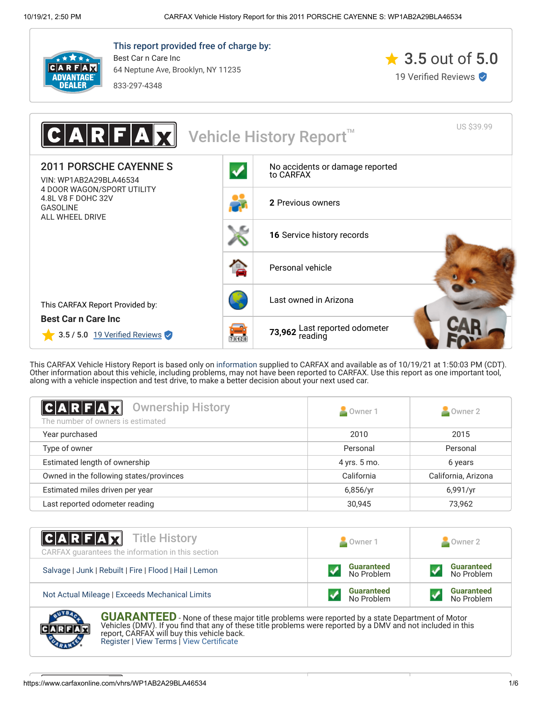

This report provided free of charge by: Best Car n Care Inc 64 Neptune Ave, Brooklyn, NY 11235

833-297-4348





This CARFAX Vehicle History Report is based only on [information](http://www.carfax.com/company/vhr-data-sources) supplied to CARFAX and available as of 10/19/21 at 1:50:03 PM (CDT). Other information about this vehicle, including problems, may not have been reported to CARFAX. Use this report as one important tool, along with a vehicle inspection and test drive, to make a better decision about your next used car.

<span id="page-0-1"></span>

| C A R F A X <br><b>Ownership History</b><br>The number of owners is estimated | Owner 1      | Owner 2             |
|-------------------------------------------------------------------------------|--------------|---------------------|
| Year purchased                                                                | 2010         | 2015                |
| Type of owner                                                                 | Personal     | Personal            |
| Estimated length of ownership                                                 | 4 yrs. 5 mo. | 6 years             |
| Owned in the following states/provinces                                       | California   | California, Arizona |
| Estimated miles driven per year                                               | 6,856/yr     | 6,991/yr            |
| Last reported odometer reading                                                | 30,945       | 73,962              |

| <b>CARFAX</b> Title History<br>CARFAX guarantees the information in this section | Owner 1                         | Owner 2                         |
|----------------------------------------------------------------------------------|---------------------------------|---------------------------------|
| Salvage   Junk   Rebuilt   Fire   Flood   Hail   Lemon                           | <b>Guaranteed</b><br>No Problem | <b>Guaranteed</b><br>No Problem |
| Not Actual Mileage   Exceeds Mechanical Limits                                   | <b>Guaranteed</b><br>No Problem | <b>Guaranteed</b><br>No Problem |

<span id="page-0-0"></span>**GUARANTEED** - None of these major title problems were reported by a state Department of Motor Vehicles (DMV). If you find that any of these title problems were reported by a DMV and not included in this report, CARFAX will buy this vehicle back. [Register](https://www.carfax.com/Service/bbg) | [View Terms](http://www.carfaxonline.com/legal/bbgTerms) | [View Certificate](https://www.carfaxonline.com/vhrs/WP1AB2A29BLA46534)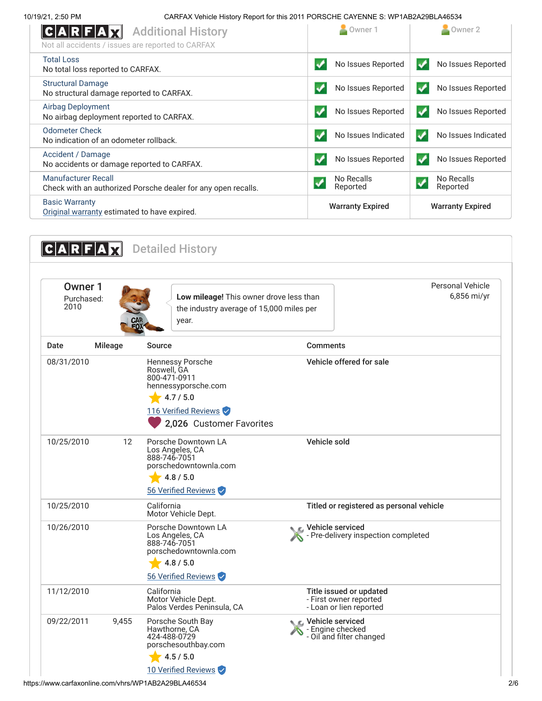| 10/19/21, 2:50 PM                                        | CARFAX Vehicle History Report for this 2011 PORSCHE CAYENNE S: WP1AB2A29BLA46534 |                         |                         |
|----------------------------------------------------------|----------------------------------------------------------------------------------|-------------------------|-------------------------|
| C A R F A                                                | <b>Additional History</b><br>Not all accidents / issues are reported to CARFAX   | Owner 1                 | Owner 2                 |
| <b>Total Loss</b><br>No total loss reported to CARFAX.   |                                                                                  | No Issues Reported      | No Issues Reported      |
| <b>Structural Damage</b>                                 | No structural damage reported to CARFAX.                                         | No Issues Reported      | No Issues Reported      |
| <b>Airbag Deployment</b>                                 | No airbag deployment reported to CARFAX.                                         | No Issues Reported      | No Issues Reported      |
| Odometer Check<br>No indication of an odometer rollback. |                                                                                  | No Issues Indicated     | No Issues Indicated     |
| Accident / Damage                                        | No accidents or damage reported to CARFAX.                                       | No Issues Reported      | No Issues Reported      |
| <b>Manufacturer Recall</b>                               | Check with an authorized Porsche dealer for any open recalls.                    | No Recalls<br>Reported  | No Recalls<br>Reported  |
| <b>Basic Warranty</b>                                    | Original warranty estimated to have expired.                                     | <b>Warranty Expired</b> | <b>Warranty Expired</b> |

<span id="page-1-0"></span>

| Owner 1<br>Purchased:<br>2010 |         | Low mileage! This owner drove less than                                                                                                 |                                                                              | <b>Personal Vehicle</b><br>$6,856$ mi/yr |
|-------------------------------|---------|-----------------------------------------------------------------------------------------------------------------------------------------|------------------------------------------------------------------------------|------------------------------------------|
|                               | EO)     | the industry average of 15,000 miles per<br>year.                                                                                       |                                                                              |                                          |
| Date                          | Mileage | <b>Source</b>                                                                                                                           | <b>Comments</b>                                                              |                                          |
| 08/31/2010                    |         | Hennessy Porsche<br>Roswell, GA<br>800-471-0911<br>hennessyporsche.com<br>4.7 / 5.0<br>116 Verified Reviews<br>2,026 Customer Favorites | Vehicle offered for sale                                                     |                                          |
| 10/25/2010                    | 12      | Porsche Downtown LA<br>Los Angeles, CA<br>888-746-7051<br>porschedowntownla.com<br>4.8 / 5.0<br>56 Verified Reviews                     | Vehicle sold                                                                 |                                          |
| 10/25/2010                    |         | California<br>Motor Vehicle Dept.                                                                                                       | Titled or registered as personal vehicle                                     |                                          |
| 10/26/2010                    |         | Porsche Downtown LA<br>Los Angeles, CA<br>888-746-7051<br>porschedowntownla.com<br>4.8 / 5.0<br>56 Verified Reviews                     | Vehicle serviced<br>Pre-delivery inspection completed                        |                                          |
| 11/12/2010                    |         | California<br>Motor Vehicle Dept.<br>Palos Verdes Peninsula, CA                                                                         | Title issued or updated<br>- First owner reported<br>- Loan or lien reported |                                          |
| 09/22/2011                    | 9,455   | Porsche South Bay<br>Hawthorne, CA<br>424-488-0729<br>porschesouthbay.com<br>4.5 / 5.0<br>10 Verified Reviews                           | Vehicle serviced<br>- Engine checked<br>- Cil and filter changed             |                                          |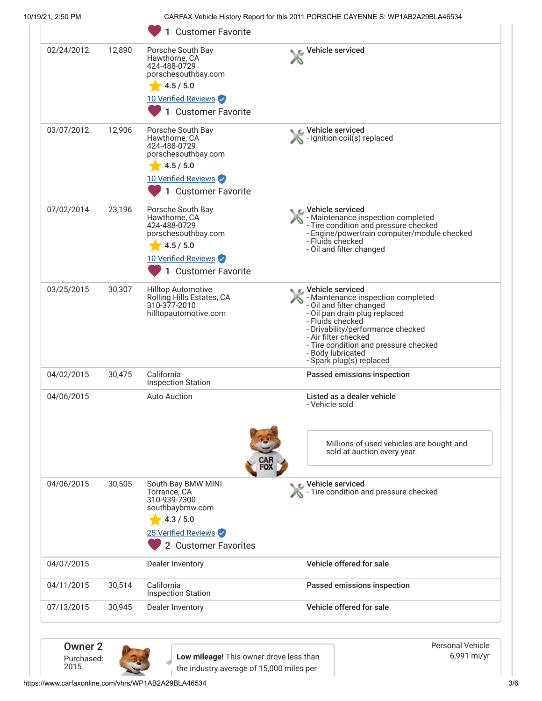| 10/19/21, 2:50 PM |        |                                                                                                                                      | CARFAX Vehicle History Report for this 2011 PORSCHE CAYENNE S: WP1AB2A29BLA46534                                                                                                                                                                                                                 |
|-------------------|--------|--------------------------------------------------------------------------------------------------------------------------------------|--------------------------------------------------------------------------------------------------------------------------------------------------------------------------------------------------------------------------------------------------------------------------------------------------|
|                   |        | 1 Customer Favorite                                                                                                                  |                                                                                                                                                                                                                                                                                                  |
| 02/24/2012        | 12,890 | Porsche South Bay<br>Hawthorne, CA<br>424-488-0729<br>porschesouthbay.com<br>4.5 / 5.0<br>10 Verified Reviews<br>1 Customer Favorite | C Vehicle serviced                                                                                                                                                                                                                                                                               |
| 03/07/2012        | 12,906 | Porsche South Bay<br>Hawthorne, CA<br>424-488-0729<br>porschesouthbay.com<br>4.5 / 5.0<br>10 Verified Reviews<br>1 Customer Favorite | Vehicle serviced<br>- Ignition coil(s) replaced                                                                                                                                                                                                                                                  |
| 07/02/2014        | 23,196 | Porsche South Bay<br>Hawthorne, CA<br>424-488-0729<br>porschesouthbay.com<br>4.5 / 5.0<br>10 Verified Reviews<br>1 Customer Favorite | <b>€</b> Vehicle serviced<br>- Maintenance inspection completed<br>- Tire condition and pressure checked<br>- Engine/powertrain computer/module checked<br>- Fluids checked<br>- Oil and filter changed                                                                                          |
| 03/25/2015        | 30,307 | <b>Hilltop Automotive</b><br>Rolling Hills Estates, CA<br>310-377-2010<br>hilltopautomotive.com                                      | C Vehicle serviced<br>- Maintenance inspection completed<br>- Oil and filter changed<br>- Oil pan drain plug replaced<br>- Fluids checked<br>- Drivability/performance checked<br>- Air filter checked<br>- Tire condition and pressure checked<br>- Body lubricated<br>- Spark plug(s) replaced |
| 04/02/2015        | 30,475 | California<br><b>Inspection Station</b>                                                                                              | Passed emissions inspection                                                                                                                                                                                                                                                                      |
| 04/06/2015        |        | <b>Auto Auction</b>                                                                                                                  | Listed as a dealer vehicle<br>- Vehicle sold<br>Millions of used vehicles are bought and<br>sold at auction every year.                                                                                                                                                                          |
| 04/06/2015        | 30,505 | South Bay BMW MINI<br>Torrance, CA<br>310-939-7300<br>southbaybmw.com<br>4.3 / 5.0<br>25 Verified Reviews<br>2 Customer Favorites    | Vehicle serviced<br>Tire condition and pressure checked                                                                                                                                                                                                                                          |
| 04/07/2015        |        | Dealer Inventory                                                                                                                     | Vehicle offered for sale                                                                                                                                                                                                                                                                         |
| 04/11/2015        | 30,514 | California<br><b>Inspection Station</b>                                                                                              | Passed emissions inspection                                                                                                                                                                                                                                                                      |
| 07/13/2015        | 30,945 | Dealer Inventory                                                                                                                     | Vehicle offered for sale                                                                                                                                                                                                                                                                         |
| <b>Owner 2</b>    |        |                                                                                                                                      |                                                                                                                                                                                                                                                                                                  |
|                   |        |                                                                                                                                      | <b>Personal Vehicle</b>                                                                                                                                                                                                                                                                          |

https://www.carfaxonline.com/vhrs/WP1AB2A29BLA46534 3/6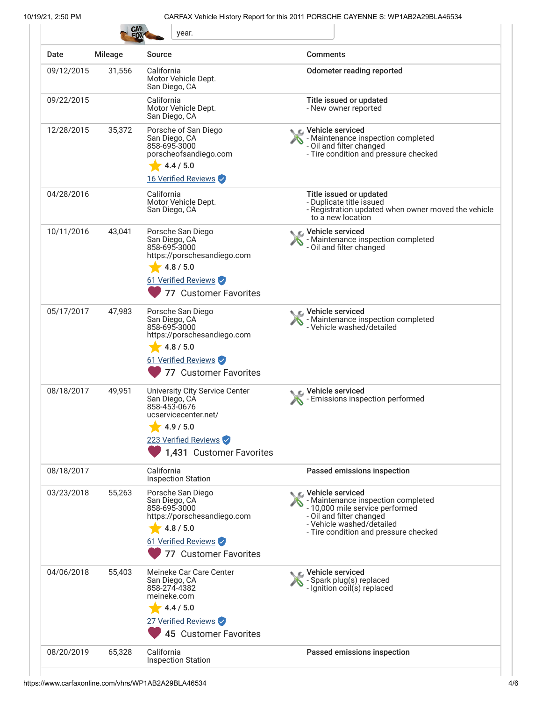10/19/21, 2:50 PM CARFAX Vehicle History Report for this 2011 PORSCHE CAYENNE S: WP1AB2A29BLA46534

| Date       | <b>Mileage</b> | <b>Source</b>                                                                                                                                            | <b>Comments</b>                                                                                                                                                                                      |
|------------|----------------|----------------------------------------------------------------------------------------------------------------------------------------------------------|------------------------------------------------------------------------------------------------------------------------------------------------------------------------------------------------------|
| 09/12/2015 | 31,556         | California<br>Motor Vehicle Dept.<br>San Diego, CA                                                                                                       | <b>Odometer reading reported</b>                                                                                                                                                                     |
| 09/22/2015 |                | California<br>Motor Vehicle Dept.<br>San Diego, CA                                                                                                       | Title issued or updated<br>- New owner reported                                                                                                                                                      |
| 12/28/2015 | 35,372         | Porsche of San Diego<br>San Diego, CA<br>858-695-3000<br>porscheofsandiego.com<br>4.4 / 5.0<br>16 Verified Reviews                                       | C Vehicle serviced<br>- Maintenance inspection completed<br>- Oil and filter changed<br>- Tire condition and pressure checked                                                                        |
| 04/28/2016 |                | California<br>Motor Vehicle Dept.<br>San Diego, CA                                                                                                       | Title issued or updated<br>- Duplicate title issued<br>- Registration updated when owner moved the vehicle<br>to a new location                                                                      |
| 10/11/2016 | 43,041         | Porsche San Diego<br>San Diego, CA<br>858-695-3000<br>https://porschesandiego.com<br>4.8 / 5.0<br>61 Verified Reviews<br>77 Customer Favorites           | Vehicle serviced<br>- Maintenance inspection completed<br>- Oil and filter changed                                                                                                                   |
| 05/17/2017 | 47,983         | Porsche San Diego<br>San Diego, CA<br>858-695-3000<br>https://porschesandiego.com<br>4.8 / 5.0<br>61 Verified Reviews<br>77 Customer Favorites           | C Vehicle serviced<br>- Maintenance inspection completed<br>- Vehicle washed/detailed                                                                                                                |
| 08/18/2017 | 49,951         | University City Service Center<br>San Diego, CÁ<br>858-453-0676<br>ucservicecenter.net/<br>4.9 / 5.0<br>223 Verified Reviews<br>1,431 Customer Favorites | ic⊾ Vehicle serviced<br>- Emissions inspection performed                                                                                                                                             |
| 08/18/2017 |                | California<br><b>Inspection Station</b>                                                                                                                  | Passed emissions inspection                                                                                                                                                                          |
| 03/23/2018 | 55,263         | Porsche San Diego<br>San Diego, CA<br>858-695-3000<br>https://porschesandiego.com<br>4.8 / 5.0<br>61 Verified Reviews<br>77 Customer Favorites           | <b>C</b> Vehicle serviced<br>- Maintenance inspection completed<br>- 10,000 mile service performed<br>- Oil and filter changed<br>- Vehicle washed/detailed<br>- Tire condition and pressure checked |
| 04/06/2018 | 55,403         | Meineke Car Care Center<br>San Diego, CA<br>858-274-4382<br>meineke.com<br>4.4 / 5.0<br>27 Verified Reviews<br>45 Customer Favorites                     | ic⊾ Vehicle serviced<br>- Spark plug(s) replaced<br>- Ignition coil(s) replaced                                                                                                                      |
| 08/20/2019 | 65,328         | California                                                                                                                                               | Passed emissions inspection                                                                                                                                                                          |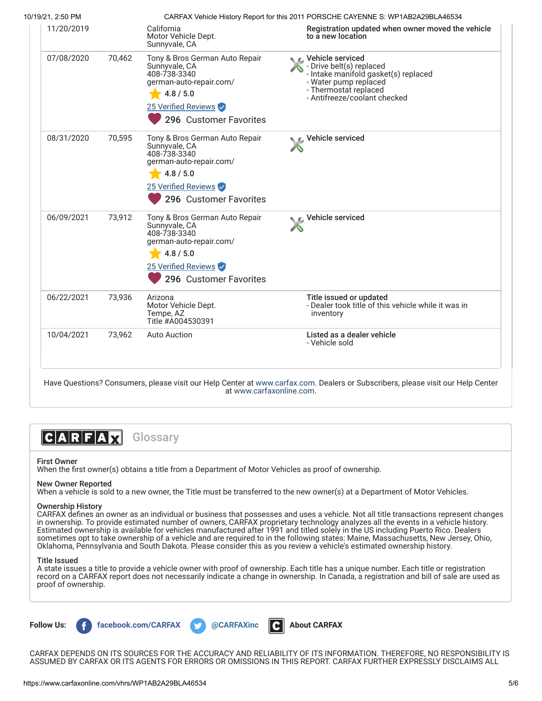| 10/19/21, 2:50 PM |        |                                                                                                                                                          | CARFAX Vehicle History Report for this 2011 PORSCHE CAYENNE S: WP1AB2A29BLA46534                                                                                       |
|-------------------|--------|----------------------------------------------------------------------------------------------------------------------------------------------------------|------------------------------------------------------------------------------------------------------------------------------------------------------------------------|
| 11/20/2019        |        | California<br>Motor Vehicle Dept.<br>Sunnyvale, CA                                                                                                       | Registration updated when owner moved the vehicle<br>to a new location                                                                                                 |
| 07/08/2020        | 70,462 | Tony & Bros German Auto Repair<br>Sunnyvale, CA<br>408-738-3340<br>german-auto-repair.com/<br>4.8 / 5.0<br>25 Verified Reviews<br>296 Customer Favorites | Vehicle serviced<br>- Drive belt(s) replaced<br>- Intake manifold gasket(s) replaced<br>- Water pump replaced<br>- Thermostat replaced<br>- Antifreeze/coolant checked |
| 08/31/2020        | 70,595 | Tony & Bros German Auto Repair<br>Sunnyvale, CA<br>408-738-3340<br>german-auto-repair.com/<br>4.8 / 5.0<br>25 Verified Reviews<br>296 Customer Favorites | Vehicle serviced                                                                                                                                                       |
| 06/09/2021        | 73,912 | Tony & Bros German Auto Repair<br>Sunnyvale, CA<br>408-738-3340<br>german-auto-repair.com/<br>4.8 / 5.0<br>25 Verified Reviews<br>296 Customer Favorites | Vehicle serviced                                                                                                                                                       |
| 06/22/2021        | 73,936 | Arizona<br>Motor Vehicle Dept.<br>Tempe, AZ<br>Title #A004530391                                                                                         | Title issued or updated<br>- Dealer took title of this vehicle while it was in<br>inventory                                                                            |
| 10/04/2021        | 73,962 | <b>Auto Auction</b>                                                                                                                                      | Listed as a dealer vehicle<br>- Vehicle sold                                                                                                                           |

Have Questions? Consumers, please visit our Help Center at [www.carfax.com](http://www.carfax.com/help). Dealers or Subscribers, please visit our Help Center at [www.carfaxonline.com.](http://www.carfaxonline.com/)

CARFAX **Glossary** 

# First Owner

When the first owner(s) obtains a title from a Department of Motor Vehicles as proof of ownership.

## New Owner Reported

When a vehicle is sold to a new owner, the Title must be transferred to the new owner(s) at a Department of Motor Vehicles.

## Ownership History

CARFAX defines an owner as an individual or business that possesses and uses a vehicle. Not all title transactions represent changes in ownership. To provide estimated number of owners, CARFAX proprietary technology analyzes all the events in a vehicle history. Estimated ownership is available for vehicles manufactured after 1991 and titled solely in the US including Puerto Rico. Dealers sometimes opt to take ownership of a vehicle and are required to in the following states: Maine, Massachusetts, New Jersey, Ohio, Oklahoma, Pennsylvania and South Dakota. Please consider this as you review a vehicle's estimated ownership history.

### Title Issued

A state issues a title to provide a vehicle owner with proof of ownership. Each title has a unique number. Each title or registration record on a CARFAX report does not necessarily indicate a change in ownership. In Canada, a registration and bill of sale are used as proof of ownership.



CARFAX DEPENDS ON ITS SOURCES FOR THE ACCURACY AND RELIABILITY OF ITS INFORMATION. THEREFORE, NO RESPONSIBILITY IS ASSUMED BY CARFAX OR ITS AGENTS FOR ERRORS OR OMISSIONS IN THIS REPORT. CARFAX FURTHER EXPRESSLY DISCLAIMS ALL